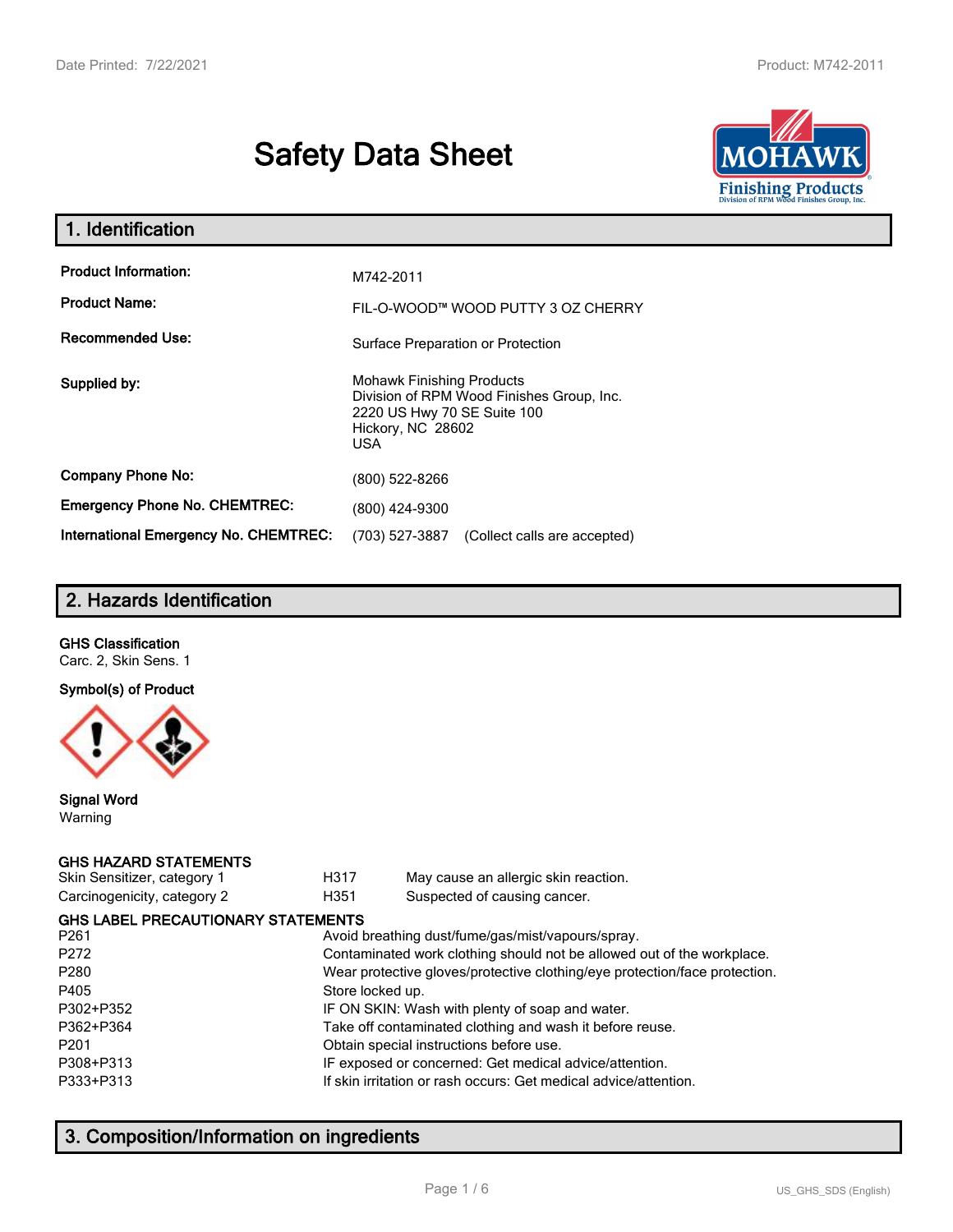# **Safety Data Sheet**



| 1. Identification                            |                                                                                                                                          |
|----------------------------------------------|------------------------------------------------------------------------------------------------------------------------------------------|
| <b>Product Information:</b>                  | M742-2011                                                                                                                                |
| <b>Product Name:</b>                         | FIL-O-WOOD™ WOOD PUTTY 3 OZ CHERRY                                                                                                       |
| <b>Recommended Use:</b>                      | Surface Preparation or Protection                                                                                                        |
| Supplied by:                                 | <b>Mohawk Finishing Products</b><br>Division of RPM Wood Finishes Group, Inc.<br>2220 US Hwy 70 SE Suite 100<br>Hickory, NC 28602<br>USA |
| <b>Company Phone No:</b>                     | (800) 522-8266                                                                                                                           |
| <b>Emergency Phone No. CHEMTREC:</b>         | (800) 424-9300                                                                                                                           |
| <b>International Emergency No. CHEMTREC:</b> | (703) 527-3887<br>(Collect calls are accepted)                                                                                           |

# **2. Hazards Identification**

#### **GHS Classification**

Carc. 2, Skin Sens. 1

#### **Symbol(s) of Product**



#### **Signal Word** Warning

#### **GHS HAZARD STATEMENTS**

| Skin Sensitizer, category 1 |  |
|-----------------------------|--|
| Carcinogenicity, category 2 |  |

H317 May cause an allergic skin reaction. genicity, category 2 **H351** Suspected of causing cancer.

| <b>GHS LABEL PRECAUTIONARY STATEMENTS</b> |                                                                            |
|-------------------------------------------|----------------------------------------------------------------------------|
| P <sub>261</sub>                          | Avoid breathing dust/fume/gas/mist/vapours/spray.                          |
| P272                                      | Contaminated work clothing should not be allowed out of the workplace.     |
| P280                                      | Wear protective gloves/protective clothing/eye protection/face protection. |
| P405                                      | Store locked up.                                                           |
| P302+P352                                 | IF ON SKIN: Wash with plenty of soap and water.                            |
| P362+P364                                 | Take off contaminated clothing and wash it before reuse.                   |
| P201                                      | Obtain special instructions before use.                                    |
| P308+P313                                 | IF exposed or concerned: Get medical advice/attention.                     |
| P333+P313                                 | If skin irritation or rash occurs: Get medical advice/attention.           |
|                                           |                                                                            |

# **3. Composition/Information on ingredients**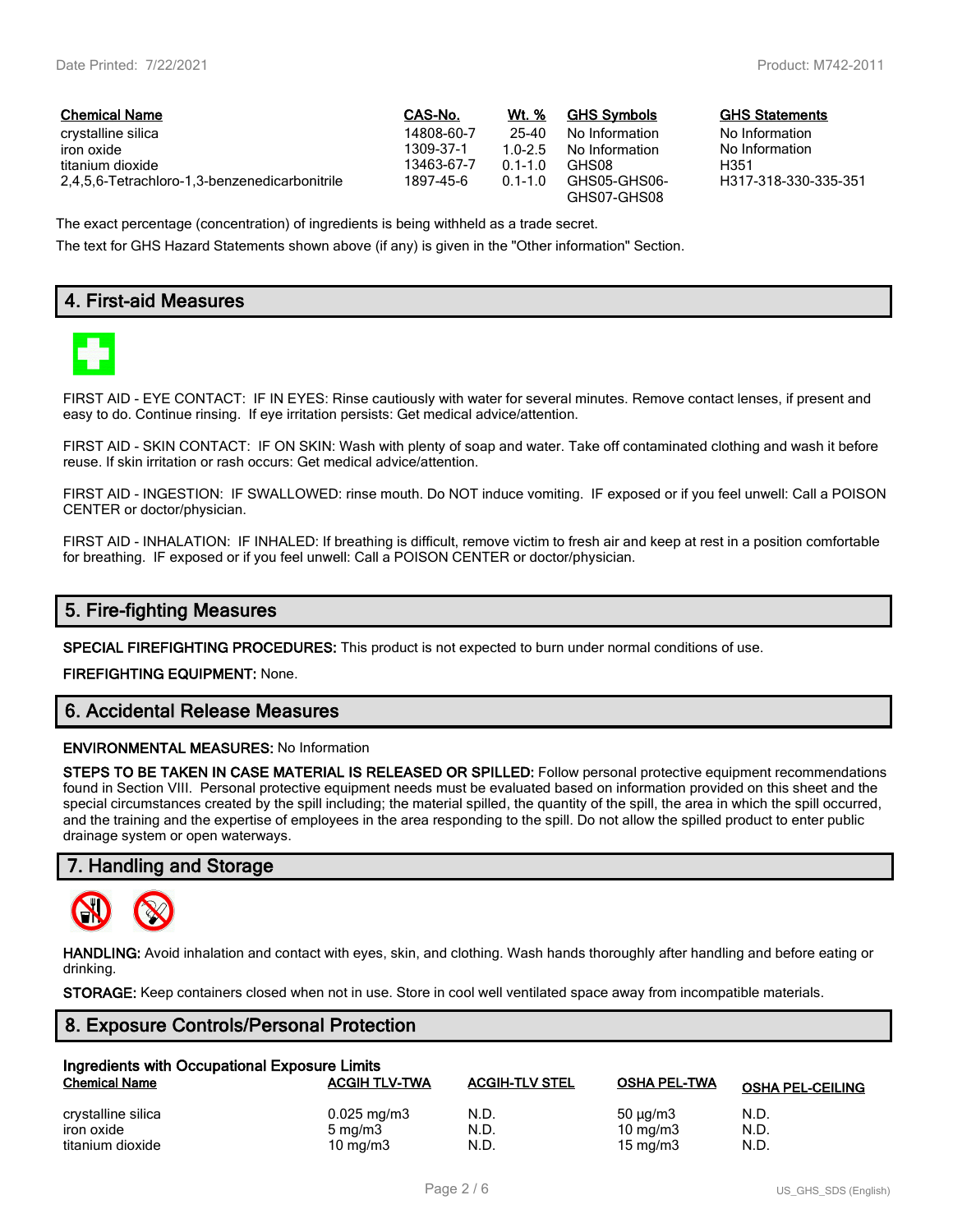| <b>Chemical Name</b>                          | CAS-No.    | Wt. %       | <b>GHS Symbols</b> | <b>GHS Statemer</b> |
|-----------------------------------------------|------------|-------------|--------------------|---------------------|
| crystalline silica                            | 14808-60-7 | 25-40       | No Information     | No Information      |
| iron oxide                                    | 1309-37-1  | $1.0 - 2.5$ | No Information     | No Information      |
| titanium dioxide                              | 13463-67-7 | $01 - 10$   | GHS08              | H351                |
| 2,4,5,6-Tetrachloro-1,3-benzenedicarbonitrile | 1897-45-6  | $0.1 - 1.0$ | GHS05-GHS06-       | H317-318-330        |
|                                               |            |             | GHS07-GHS08        |                     |

#### $GHS$  Statements

No Information<br>No Information H317-318-330-335-351

The exact percentage (concentration) of ingredients is being withheld as a trade secret.

The text for GHS Hazard Statements shown above (if any) is given in the "Other information" Section.

# **4. First-aid Measures**



FIRST AID - EYE CONTACT: IF IN EYES: Rinse cautiously with water for several minutes. Remove contact lenses, if present and easy to do. Continue rinsing. If eye irritation persists: Get medical advice/attention.

FIRST AID - SKIN CONTACT: IF ON SKIN: Wash with plenty of soap and water. Take off contaminated clothing and wash it before reuse. If skin irritation or rash occurs: Get medical advice/attention.

FIRST AID - INGESTION: IF SWALLOWED: rinse mouth. Do NOT induce vomiting. IF exposed or if you feel unwell: Call a POISON CENTER or doctor/physician.

FIRST AID - INHALATION: IF INHALED: If breathing is difficult, remove victim to fresh air and keep at rest in a position comfortable for breathing. IF exposed or if you feel unwell: Call a POISON CENTER or doctor/physician.

### **5. Fire-fighting Measures**

**SPECIAL FIREFIGHTING PROCEDURES:** This product is not expected to burn under normal conditions of use.

**FIREFIGHTING EQUIPMENT:** None.

### **6. Accidental Release Measures**

#### **ENVIRONMENTAL MEASURES:** No Information

**STEPS TO BE TAKEN IN CASE MATERIAL IS RELEASED OR SPILLED:** Follow personal protective equipment recommendations found in Section VIII. Personal protective equipment needs must be evaluated based on information provided on this sheet and the special circumstances created by the spill including; the material spilled, the quantity of the spill, the area in which the spill occurred, and the training and the expertise of employees in the area responding to the spill. Do not allow the spilled product to enter public drainage system or open waterways.

## **7. Handling and Storage**



**HANDLING:** Avoid inhalation and contact with eyes, skin, and clothing. Wash hands thoroughly after handling and before eating or drinking.

**STORAGE:** Keep containers closed when not in use. Store in cool well ventilated space away from incompatible materials.

### **8. Exposure Controls/Personal Protection**

| Ingredients with Occupational Exposure Limits |                         |                       |                     |                         |  |
|-----------------------------------------------|-------------------------|-----------------------|---------------------|-------------------------|--|
| <b>Chemical Name</b>                          | <b>ACGIH TLV-TWA</b>    | <b>ACGIH-TLV STEL</b> | <b>OSHA PEL-TWA</b> | <b>OSHA PEL-CEILING</b> |  |
| crystalline silica                            | $0.025 \,\mathrm{mg/m}$ | N.D.                  | $50 \mu q/m3$       | N.D.                    |  |
| iron oxide                                    | $5 \text{ mg/m}$        | N.D.                  | $10 \text{ mg/m}$   | N.D.                    |  |
| titanium dioxide                              | 10 mg/m $3$             | N.D.                  | $15 \text{ mg/m}$   | N.D.                    |  |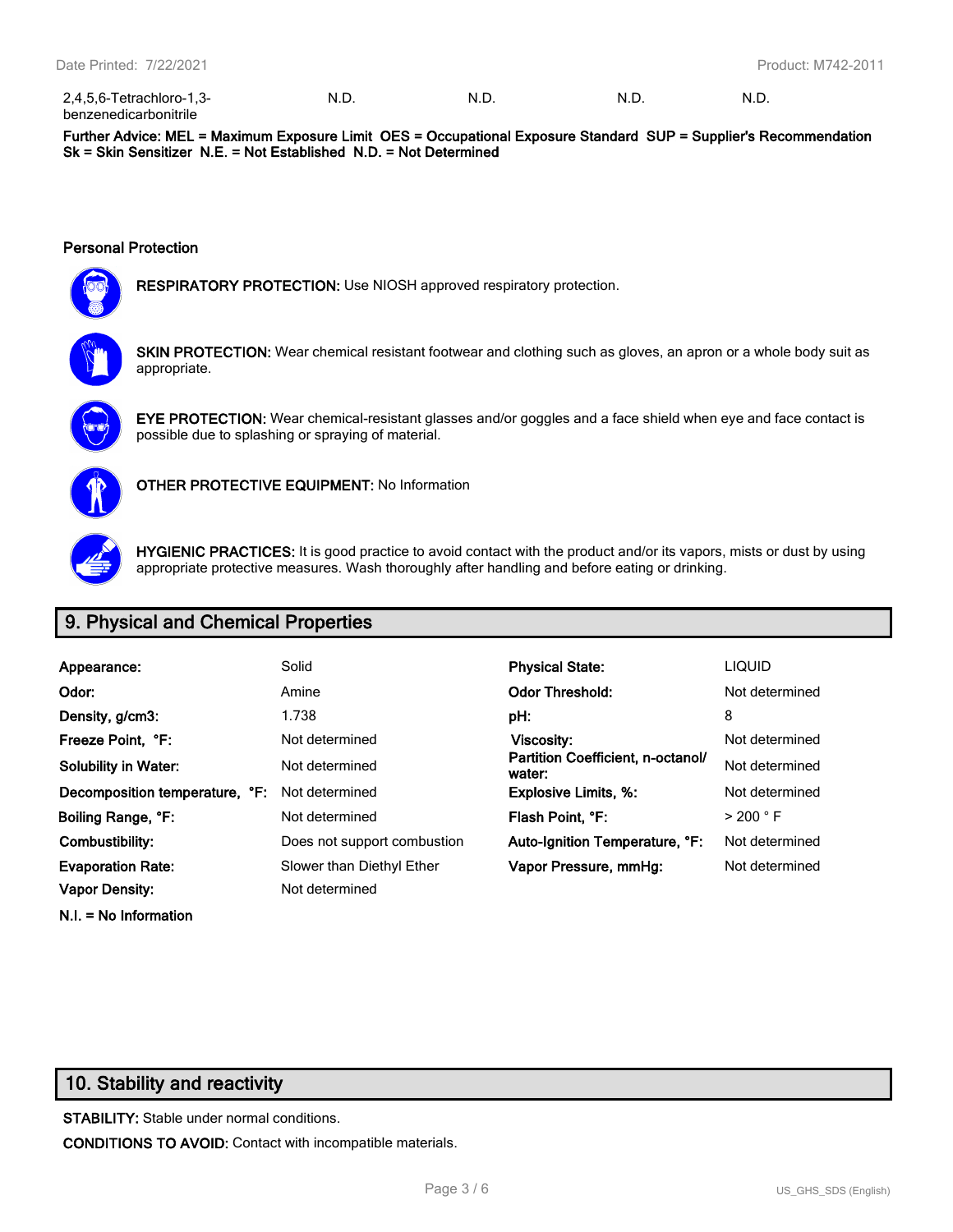| 2,4,5,6-Tetrachloro-1,3-     | - N.L. | N F | N.D | N.D. |
|------------------------------|--------|-----|-----|------|
| <b>benzenedicarbonitrile</b> |        |     |     |      |

**Further Advice: MEL = Maximum Exposure Limit OES = Occupational Exposure Standard SUP = Supplier's Recommendation Sk = Skin Sensitizer N.E. = Not Established N.D. = Not Determined**

#### **Personal Protection**



**RESPIRATORY PROTECTION:** Use NIOSH approved respiratory protection.



**SKIN PROTECTION:** Wear chemical resistant footwear and clothing such as gloves, an apron or a whole body suit as appropriate.



**EYE PROTECTION:** Wear chemical-resistant glasses and/or goggles and a face shield when eye and face contact is possible due to splashing or spraying of material.



**OTHER PROTECTIVE EQUIPMENT:** No Information



**HYGIENIC PRACTICES:** It is good practice to avoid contact with the product and/or its vapors, mists or dust by using appropriate protective measures. Wash thoroughly after handling and before eating or drinking.

# **9. Physical and Chemical Properties**

| Appearance:                    | Solid                       | <b>Physical State:</b>                      | <b>LIQUID</b>        |
|--------------------------------|-----------------------------|---------------------------------------------|----------------------|
| Odor:                          | Amine                       | <b>Odor Threshold:</b>                      | Not determined       |
| Density, g/cm3:                | 1.738                       | pH:                                         | 8                    |
| Freeze Point, °F:              | Not determined              | Viscosity:                                  | Not determined       |
| <b>Solubility in Water:</b>    | Not determined              | Partition Coefficient, n-octanol/<br>water: | Not determined       |
| Decomposition temperature, °F: | Not determined              | <b>Explosive Limits, %:</b>                 | Not determined       |
| Boiling Range, °F:             | Not determined              | Flash Point, °F:                            | $>$ 200 $^{\circ}$ F |
| Combustibility:                | Does not support combustion | Auto-Ignition Temperature, °F:              | Not determined       |
| <b>Evaporation Rate:</b>       | Slower than Diethyl Ether   | Vapor Pressure, mmHg:                       | Not determined       |
| <b>Vapor Density:</b>          | Not determined              |                                             |                      |

## **10. Stability and reactivity**

**N.I. = No Information**

**STABILITY:** Stable under normal conditions. **CONDITIONS TO AVOID:** Contact with incompatible materials.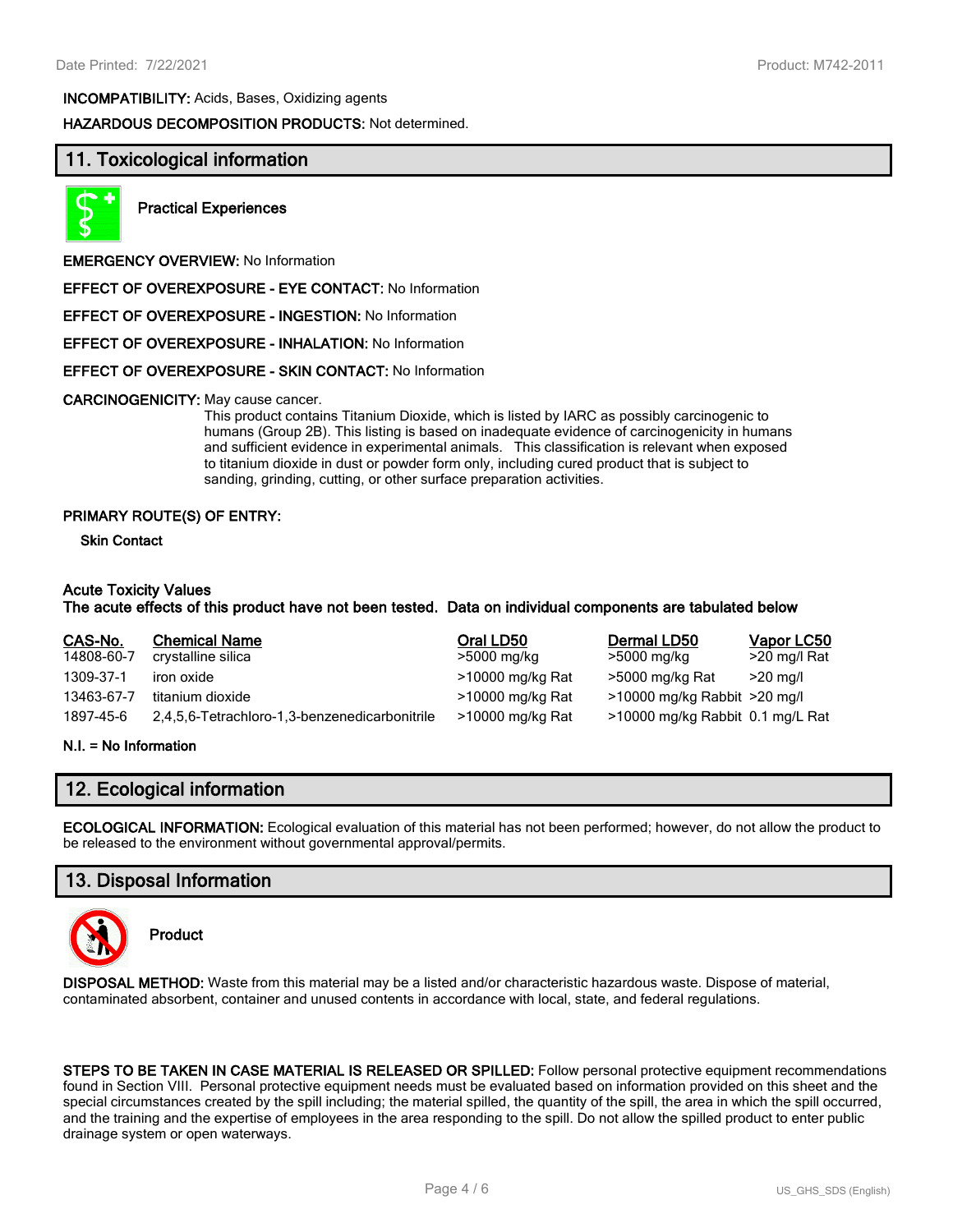**INCOMPATIBILITY:** Acids, Bases, Oxidizing agents

**HAZARDOUS DECOMPOSITION PRODUCTS:** Not determined.

### **11. Toxicological information**



**Practical Experiences**

**EMERGENCY OVERVIEW:** No Information

**EFFECT OF OVEREXPOSURE - EYE CONTACT:** No Information

**EFFECT OF OVEREXPOSURE - INGESTION:** No Information

**EFFECT OF OVEREXPOSURE - INHALATION:** No Information

#### **EFFECT OF OVEREXPOSURE - SKIN CONTACT:** No Information

#### **CARCINOGENICITY:** May cause cancer.

This product contains Titanium Dioxide, which is listed by IARC as possibly carcinogenic to humans (Group 2B). This listing is based on inadequate evidence of carcinogenicity in humans and sufficient evidence in experimental animals. This classification is relevant when exposed to titanium dioxide in dust or powder form only, including cured product that is subject to sanding, grinding, cutting, or other surface preparation activities.

#### **PRIMARY ROUTE(S) OF ENTRY:**

**Skin Contact**

#### **Acute Toxicity Values**

#### **The acute effects of this product have not been tested. Data on individual components are tabulated below**

| CAS-No.    | <b>Chemical Name</b>                          | Oral LD50        | Dermal LD50                      | Vapor LC50   |
|------------|-----------------------------------------------|------------------|----------------------------------|--------------|
| 14808-60-7 | crystalline silica                            | >5000 mg/kg      | >5000 mg/kg                      | >20 mg/l Rat |
| 1309-37-1  | iron oxide                                    | >10000 mg/kg Rat | >5000 mg/kg Rat                  | $>$ 20 ma/l  |
| 13463-67-7 | titanium dioxide                              | >10000 mg/kg Rat | >10000 mg/kg Rabbit >20 mg/l     |              |
| 1897-45-6  | 2,4,5,6-Tetrachloro-1,3-benzenedicarbonitrile | >10000 mg/kg Rat | >10000 mg/kg Rabbit 0.1 mg/L Rat |              |

#### **N.I. = No Information**

## **12. Ecological information**

**ECOLOGICAL INFORMATION:** Ecological evaluation of this material has not been performed; however, do not allow the product to be released to the environment without governmental approval/permits.

## **13. Disposal Information**



**Product**

**DISPOSAL METHOD:** Waste from this material may be a listed and/or characteristic hazardous waste. Dispose of material, contaminated absorbent, container and unused contents in accordance with local, state, and federal regulations.

**STEPS TO BE TAKEN IN CASE MATERIAL IS RELEASED OR SPILLED:** Follow personal protective equipment recommendations found in Section VIII. Personal protective equipment needs must be evaluated based on information provided on this sheet and the special circumstances created by the spill including; the material spilled, the quantity of the spill, the area in which the spill occurred, and the training and the expertise of employees in the area responding to the spill. Do not allow the spilled product to enter public drainage system or open waterways.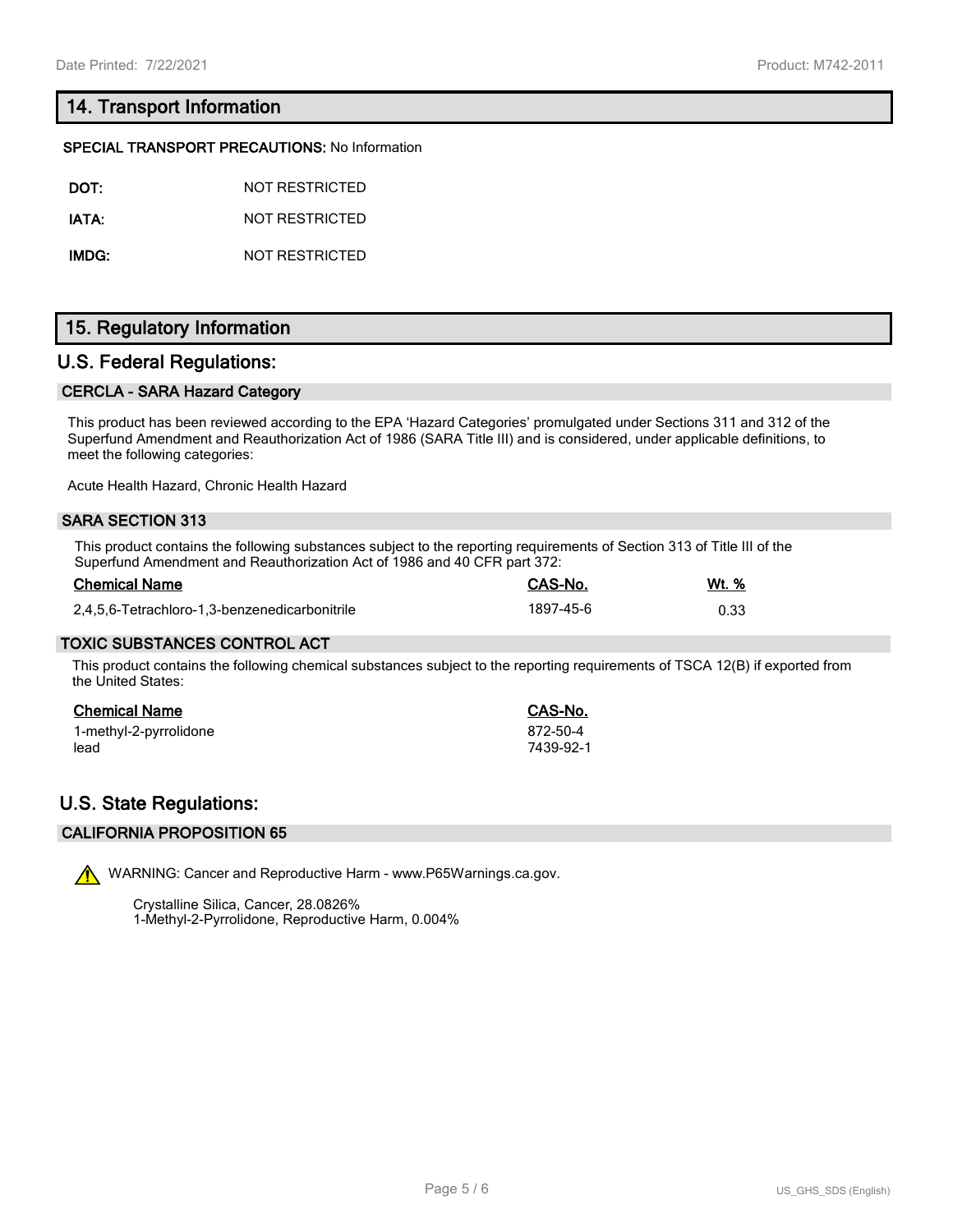# **14. Transport Information**

#### **SPECIAL TRANSPORT PRECAUTIONS:** No Information

| DOT:  | NOT RESTRICTED |
|-------|----------------|
| IATA: | NOT RESTRICTED |

**IMDG:** NOT RESTRICTED

# **15. Regulatory Information**

### **U.S. Federal Regulations:**

#### **CERCLA - SARA Hazard Category**

This product has been reviewed according to the EPA 'Hazard Categories' promulgated under Sections 311 and 312 of the Superfund Amendment and Reauthorization Act of 1986 (SARA Title III) and is considered, under applicable definitions, to meet the following categories:

Acute Health Hazard, Chronic Health Hazard

#### **SARA SECTION 313**

This product contains the following substances subject to the reporting requirements of Section 313 of Title III of the Superfund Amendment and Reauthorization Act of 1986 and 40 CFR part 372:

| <b>Chemical Name</b>                          | CAS-No.   | Wt. % |
|-----------------------------------------------|-----------|-------|
| 2.4.5.6-Tetrachloro-1.3-benzenedicarbonitrile | 1897-45-6 | 0.33  |

#### **TOXIC SUBSTANCES CONTROL ACT**

This product contains the following chemical substances subject to the reporting requirements of TSCA 12(B) if exported from the United States:

#### **Chemical Name CAS-No.**

1-methyl-2-pyrrolidone 872-50-4 lead 7439-92-1

# **U.S. State Regulations:**

#### **CALIFORNIA PROPOSITION 65**



WARNING: Cancer and Reproductive Harm - www.P65Warnings.ca.gov.

Crystalline Silica, Cancer, 28.0826% 1-Methyl-2-Pyrrolidone, Reproductive Harm, 0.004%